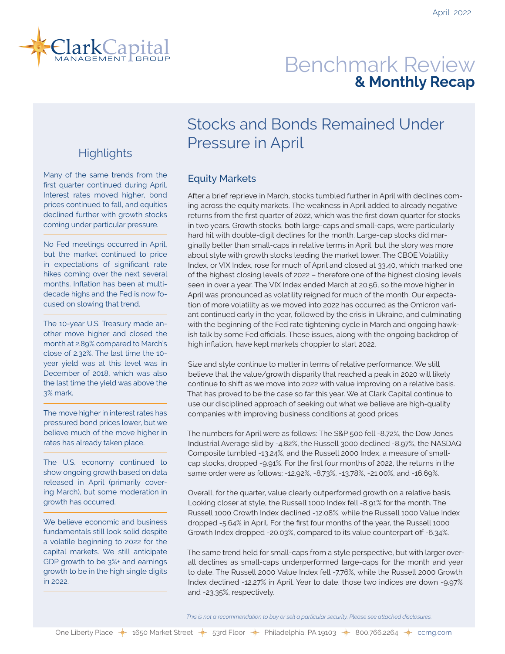

# Benchmark Review **& Monthly Recap**

## **Highlights**

Many of the same trends from the first quarter continued during April. Interest rates moved higher, bond prices continued to fall, and equities declined further with growth stocks coming under particular pressure.

No Fed meetings occurred in April, but the market continued to price in expectations of significant rate hikes coming over the next several months. Inflation has been at multidecade highs and the Fed is now focused on slowing that trend.

The 10-year U.S. Treasury made another move higher and closed the month at 2.89% compared to March's close of 2.32%. The last time the 10 year yield was at this level was in December of 2018, which was also the last time the yield was above the 3% mark.

The move higher in interest rates has pressured bond prices lower, but we believe much of the move higher in rates has already taken place.

The U.S. economy continued to show ongoing growth based on data released in April (primarily covering March), but some moderation in growth has occurred.

We believe economic and business fundamentals still look solid despite a volatile beginning to 2022 for the capital markets. We still anticipate GDP growth to be 3%+ and earnings growth to be in the high single digits in 2022.

# Stocks and Bonds Remained Under Pressure in April

### Equity Markets

After a brief reprieve in March, stocks tumbled further in April with declines coming across the equity markets. The weakness in April added to already negative returns from the first quarter of 2022, which was the first down quarter for stocks in two years. Growth stocks, both large-caps and small-caps, were particularly hard hit with double-digit declines for the month. Large-cap stocks did marginally better than small-caps in relative terms in April, but the story was more about style with growth stocks leading the market lower. The CBOE Volatility Index, or VIX Index, rose for much of April and closed at 33.40, which marked one of the highest closing levels of 2022 – therefore one of the highest closing levels seen in over a year. The VIX Index ended March at 20.56, so the move higher in April was pronounced as volatility reigned for much of the month. Our expectation of more volatility as we moved into 2022 has occurred as the Omicron variant continued early in the year, followed by the crisis in Ukraine, and culminating with the beginning of the Fed rate tightening cycle in March and ongoing hawkish talk by some Fed officials. These issues, along with the ongoing backdrop of high inflation, have kept markets choppier to start 2022.

Size and style continue to matter in terms of relative performance. We still believe that the value/growth disparity that reached a peak in 2020 will likely continue to shift as we move into 2022 with value improving on a relative basis. That has proved to be the case so far this year. We at Clark Capital continue to use our disciplined approach of seeking out what we believe are high-quality companies with improving business conditions at good prices.

The numbers for April were as follows: The S&P 500 fell -8.72%, the Dow Jones Industrial Average slid by -4.82%, the Russell 3000 declined -8.97%, the NASDAQ Composite tumbled -13.24%, and the Russell 2000 Index, a measure of smallcap stocks, dropped -9.91%. For the first four months of 2022, the returns in the same order were as follows: -12.92%, -8.73%, -13.78%, -21.00%, and -16.69%.

Overall, for the quarter, value clearly outperformed growth on a relative basis. Looking closer at style, the Russell 1000 Index fell -8.91% for the month. The Russell 1000 Growth Index declined -12.08%, while the Russell 1000 Value Index dropped -5.64% in April. For the first four months of the year, the Russell 1000 Growth Index dropped -20.03%, compared to its value counterpart off -6.34%.

The same trend held for small-caps from a style perspective, but with larger overall declines as small-caps underperformed large-caps for the month and year to date. The Russell 2000 Value Index fell -7.76%, while the Russell 2000 Growth Index declined -12.27% in April. Year to date, those two indices are down -9.97% and -23.35%, respectively.

*This is not a recommendation to buy or sell a particular security. Please see attached disclosures.*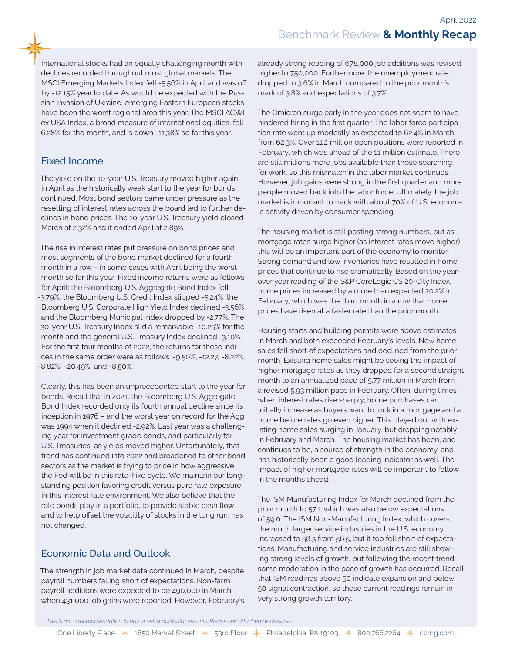International stocks had an equally challenging month with declines recorded throughout most global markets. The MSCI Emerging Markets Index fell -5.56% in April and was off by -12.15% year to date. As would be expected with the Russian invasion of Ukraine, emerging Eastern European stocks have been the worst regional area this year. The MSCI ACWI ex USA Index, a broad measure of international equities, fell -6.28% for the month, and is down -11.38% so far this year.

### Fixed Income

The yield on the 10-year U.S. Treasury moved higher again in April as the historically weak start to the year for bonds continued. Most bond sectors came under pressure as the resetting of interest rates across the board led to further declines in bond prices. The 10-year U.S. Treasury yield closed March at 2.32% and it ended April at 2.89%.

The rise in interest rates put pressure on bond prices and most segments of the bond market declined for a fourth month in a row – in some cases with April being the worst month so far this year. Fixed income returns were as follows for April: the Bloomberg U.S. Aggregate Bond Index fell -3.79%, the Bloomberg U.S. Credit Index slipped -5.24%, the Bloomberg U.S. Corporate High Yield Index declined -3.56% and the Bloomberg Municipal Index dropped by -2.77%. The 30-year U.S. Treasury Index slid a remarkable -10.25% for the month and the general U.S. Treasury Index declined -3.10%. For the first four months of 2022, the returns for these indices in the same order were as follows: -9.50%, -12.27, -8.22%, -8.82%, -20.49%, and -8.50%.

Clearly, this has been an unprecedented start to the year for bonds. Recall that in 2021, the Bloomberg U.S. Aggregate Bond Index recorded only its fourth annual decline since its inception in 1976 – and the worst year on record for the Agg was 1994 when it declined -2.92%. Last year was a challenging year for investment grade bonds, and particularly for U.S. Treasuries, as yields moved higher. Unfortunately, that trend has continued into 2022 and broadened to other bond sectors as the market is trying to price in how aggressive the Fed will be in this rate-hike cycle. We maintain our longstanding position favoring credit versus pure rate exposure in this interest rate environment. We also believe that the role bonds play in a portfolio, to provide stable cash flow and to help offset the volatility of stocks in the long run, has not changed.

## Economic Data and Outlook

The strength in job market data continued in March, despite payroll numbers falling short of expectations. Non-farm payroll additions were expected to be 490,000 in March, when 431,000 job gains were reported. However, February's already strong reading of 678,000 job additions was revised higher to 750,000. Furthermore, the unemployment rate dropped to 3.6% in March compared to the prior month's mark of 3.8% and expectations of 3.7%.

The Omicron surge early in the year does not seem to have hindered hiring in the first quarter. The labor force participation rate went up modestly as expected to 62.4% in March from 62.3%. Over 11.2 million open positions were reported in February, which was ahead of the 11 million estimate. There are still millions more jobs available than those searching for work, so this mismatch in the labor market continues. However, job gains were strong in the first quarter and more people moved back into the labor force. Ultimately, the job market is important to track with about 70% of U.S. economic activity driven by consumer spending.

The housing market is still posting strong numbers, but as mortgage rates surge higher (as interest rates move higher) this will be an important part of the economy to monitor. Strong demand and low inventories have resulted in home prices that continue to rise dramatically. Based on the yearover year reading of the S&P CoreLogic CS 20-City Index, home prices increased by a more than expected 20.2% in February, which was the third month in a row that home prices have risen at a faster rate than the prior month.

Housing starts and building permits were above estimates in March and both exceeded February's levels. New home sales fell short of expectations and declined from the prior month. Existing home sales might be seeing the impact of higher mortgage rates as they dropped for a second straight month to an annualized pace of 5.77 million in March from a revised 5.93 million pace in February. Often, during times when interest rates rise sharply, home purchases can initially increase as buyers want to lock in a mortgage and a home before rates go even higher. This played out with existing home sales surging in January, but dropping notably in February and March. The housing market has been, and continues to be, a source of strength in the economy, and has historically been a good leading indicator as well. The impact of higher mortgage rates will be important to follow in the months ahead.

The ISM Manufacturing Index for March declined from the prior month to 57.1, which was also below expectations of 59.0. The ISM Non-Manufacturing Index, which covers the much larger service industries in the U.S. economy, increased to 58.3 from 56.5, but it too fell short of expectations. Manufacturing and service industries are still showing strong levels of growth, but following the recent trend, some moderation in the pace of growth has occurred. Recall that ISM readings above 50 indicate expansion and below 50 signal contraction, so these current readings remain in very strong growth territory.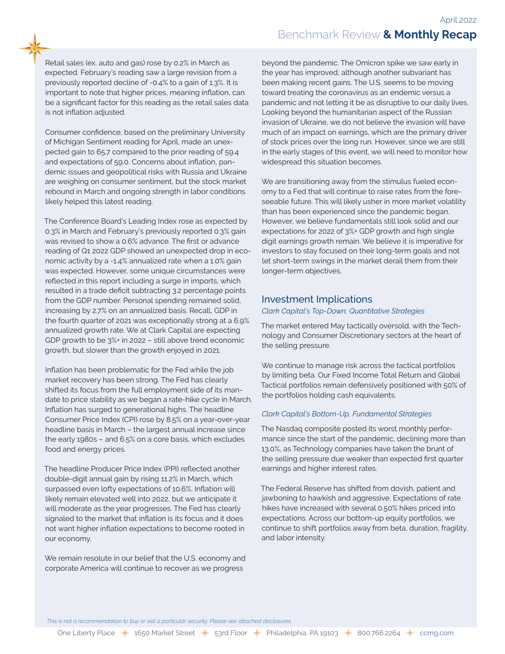Retail sales (ex. auto and gas) rose by 0.2% in March as expected. February's reading saw a large revision from a previously reported decline of -0.4% to a gain of 1.3%. It is important to note that higher prices, meaning inflation, can be a significant factor for this reading as the retail sales data is not inflation adjusted.

Consumer confidence, based on the preliminary University of Michigan Sentiment reading for April, made an unexpected gain to 65.7 compared to the prior reading of 59.4 and expectations of 59.0. Concerns about inflation, pandemic issues and geopolitical risks with Russia and Ukraine are weighing on consumer sentiment, but the stock market rebound in March and ongoing strength in labor conditions likely helped this latest reading.

The Conference Board's Leading Index rose as expected by 0.3% in March and February's previously reported 0.3% gain was revised to show a 0.6% advance. The first or advance reading of Q1 2022 GDP showed an unexpected drop in economic activity by a -1.4% annualized rate when a 1.0% gain was expected. However, some unique circumstances were reflected in this report including a surge in imports, which resulted in a trade deficit subtracting 3.2 percentage points from the GDP number. Personal spending remained solid, increasing by 2.7% on an annualized basis. Recall, GDP in the fourth quarter of 2021 was exceptionally strong at a 6.9% annualized growth rate. We at Clark Capital are expecting GDP growth to be 3%+ in 2022 – still above trend economic growth, but slower than the growth enjoyed in 2021.

Inflation has been problematic for the Fed while the job market recovery has been strong. The Fed has clearly shifted its focus from the full employment side of its mandate to price stability as we began a rate-hike cycle in March. Inflation has surged to generational highs. The headline Consumer Price Index (CPI) rose by 8.5% on a year-over-year headline basis in March – the largest annual increase since the early 1980s – and 6.5% on a core basis, which excludes food and energy prices.

The headline Producer Price Index (PPI) reflected another double-digit annual gain by rising 11.2% in March, which surpassed even lofty expectations of 10.6%. Inflation will likely remain elevated well into 2022, but we anticipate it will moderate as the year progresses. The Fed has clearly signaled to the market that inflation is its focus and it does not want higher inflation expectations to become rooted in our economy.

We remain resolute in our belief that the U.S. economy and corporate America will continue to recover as we progress

beyond the pandemic. The Omicron spike we saw early in the year has improved, although another subvariant has been making recent gains. The U.S. seems to be moving toward treating the coronavirus as an endemic versus a pandemic and not letting it be as disruptive to our daily lives. Looking beyond the humanitarian aspect of the Russian invasion of Ukraine, we do not believe the invasion will have much of an impact on earnings, which are the primary driver of stock prices over the long run. However, since we are still in the early stages of this event, we will need to monitor how widespread this situation becomes.

We are transitioning away from the stimulus fueled economy to a Fed that will continue to raise rates from the foreseeable future. This will likely usher in more market volatility than has been experienced since the pandemic began. However, we believe fundamentals still look solid and our expectations for 2022 of 3%+ GDP growth and high single digit earnings growth remain. We believe it is imperative for investors to stay focused on their long-term goals and not let short-term swings in the market derail them from their longer-term objectives.

#### Investment Implications

#### *Clark Capital's Top-Down, Quantitative Strategies*

The market entered May tactically oversold, with the Technology and Consumer Discretionary sectors at the heart of the selling pressure.

We continue to manage risk across the tactical portfolios by limiting beta. Our Fixed Income Total Return and Global Tactical portfolios remain defensively positioned with 50% of the portfolios holding cash equivalents.

#### *Clark Capital's Bottom-Up, Fundamental Strategies*

The Nasdaq composite posted its worst monthly performance since the start of the pandemic, declining more than 13.0%, as Technology companies have taken the brunt of the selling pressure due weaker than expected first quarter earnings and higher interest rates.

The Federal Reserve has shifted from dovish, patient and jawboning to hawkish and aggressive. Expectations of rate hikes have increased with several 0.50% hikes priced into expectations. Across our bottom-up equity portfolios, we continue to shift portfolios away from beta, duration, fragility, and labor intensity.

*This is not a recommendation to buy or sell a particular security. Please see attached disclosures.*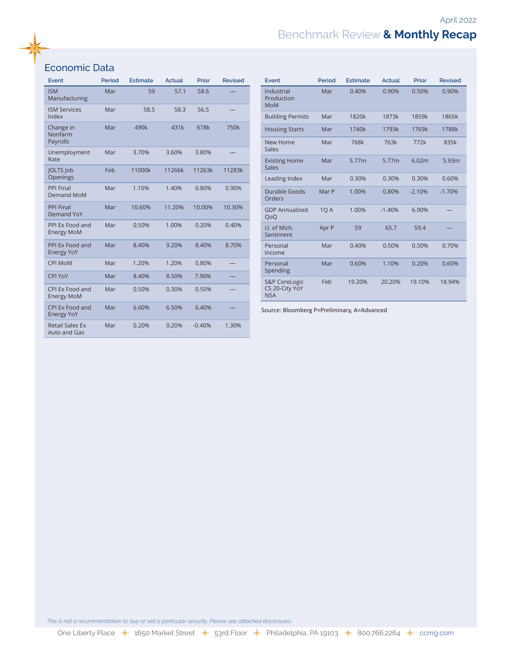## Benchmark Review **& Monthly Recap**

## Economic Data

| <b>Event</b>                           | <b>Period</b> | <b>Estimate</b> | <b>Actual</b> | Prior    | <b>Revised</b> |
|----------------------------------------|---------------|-----------------|---------------|----------|----------------|
| <b>ISM</b><br>Manufacturing            | Mar           | 59              | 57.1          | 58.6     |                |
| <b>ISM Services</b><br>Index           | Mar           | 58.5            | 58.3          | 56.5     |                |
| Change in<br>Nonfarm<br>Payrolls       | Mar           | 490k            | 431k          | 678k     | 750k           |
| Unemployment<br>Rate                   | Mar           | 3.70%           | 3.60%         | 3.80%    |                |
| JOLTS Job<br>Openings                  | Feb           | 11000k          | 11266k        | 11263k   | 11283k         |
| <b>PPI Final</b><br><b>Demand MoM</b>  | Mar           | 1.10%           | 1.40%         | 0.80%    | 0.90%          |
| <b>PPI Final</b><br>Demand YoY         | Mar           | 10.60%          | 11.20%        | 10.00%   | 10.30%         |
| PPI Ex Food and<br><b>Energy MoM</b>   | Mar           | 0.50%           | 1.00%         | 0.20%    | 0.40%          |
| PPI Ex Food and<br><b>Energy YoY</b>   | Mar           | 8.40%           | 9.20%         | 8.40%    | 8.70%          |
| <b>CPI MoM</b>                         | Mar           | 1.20%           | 1.20%         | 0.80%    |                |
| <b>CPI YoY</b>                         | Mar           | 8.40%           | 8.50%         | 7.90%    |                |
| CPI Ex Food and<br><b>Energy MoM</b>   | Mar           | 0.50%           | 0.30%         | 0.50%    |                |
| CPI Ex Food and<br><b>Energy YoY</b>   | Mar           | 6.60%           | 6.50%         | 6.40%    |                |
| <b>Retail Sales Ex</b><br>Auto and Gas | Mar           | 0.20%           | 0.20%         | $-0.40%$ | 1.30%          |

| Event                                                    | Period      | <b>Estimate</b> | Actual   | Prior    | <b>Revised</b> |
|----------------------------------------------------------|-------------|-----------------|----------|----------|----------------|
| Industrial<br>Production<br><b>MoM</b>                   | Mar         | 0.40%           | 0.90%    | 0.50%    | 0.90%          |
| <b>Building Permits</b>                                  | Mar         | 1820k           | 1873k    | 1859k    | 1865k          |
| <b>Housing Starts</b>                                    | Mar         | 1740k           | 1793k    | 1769k    | 1788k          |
| New Home<br>Sales                                        | Mar         | 768k            | 763k     | 772k     | 835k           |
| <b>Existing Home</b><br>Sales                            | Mar         | 5.77m           | 5.77m    | 6.02m    | 5.93m          |
| Leading Index                                            | Mar         | 0.30%           | 0.30%    | 0.30%    | 0.60%          |
| Durable Goods<br>Orders                                  | Mar P       | 1.00%           | 0.80%    | $-2.10%$ | $-1.70%$       |
| <b>GDP Annualized</b><br>QoQ                             | <b>10 A</b> | 1.00%           | $-1.40%$ | 6.90%    |                |
| U. of Mich.<br>Sentiment                                 | Apr P       | 59              | 65.7     | 59.4     |                |
| Personal<br>Income                                       | Mar         | 0.40%           | 0.50%    | 0.50%    | 0.70%          |
| Personal<br>Spending                                     | Mar         | 0.60%           | 1.10%    | 0.20%    | 0.60%          |
| <b>S&amp;P CoreLogic</b><br>CS 20-City YoY<br><b>NSA</b> | Feb         | 19.20%          | 20.20%   | 19.10%   | 18.94%         |

Source: Bloomberg P=Preliminary, A=Advanced

*This is not a recommendation to buy or sell a particular security. Please see attached disclosures.*